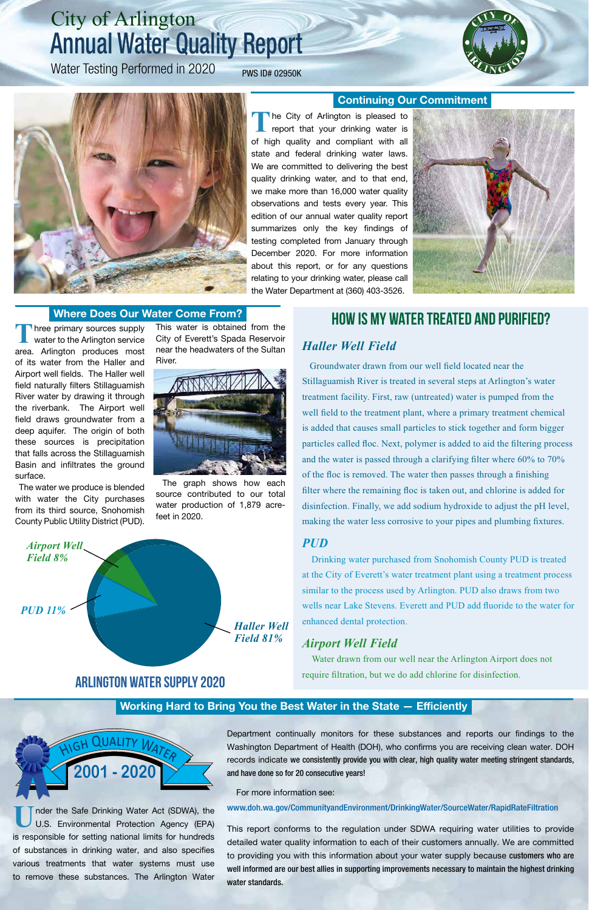**U**nder the Safe Drinking Water Act (SDWA), the U.S. Environmental Protection Agency (EPA) is responsible for setting national limits for hundreds of substances in drinking water, and also specifies various treatments that water systems must use to remove these substances. The Arlington Water

#### **Working Hard to Bring You the Best Water in the State — Efficiently**

Department continually monitors for these substances and reports our findings to the Washington Department of Health (DOH), who confirms you are receiving clean water. DOH records indicate we consistently provide you with clear, high quality water meeting stringent standards, and have done so for 20 consecutive years!

For more information see:

www.doh.wa.gov/CommunityandEnvironment/DrinkingWater/SourceWater/RapidRateFiltration

The City of Arlington is pleased to report that your drinking water is of high quality and compliant with all state and federal drinking water laws. We are committed to delivering the best quality drinking water, and to that end, we make more than 16,000 water quality observations and tests every year. This edition of our annual water quality report summarizes only the key findings of testing completed from January through December 2020. For more information about this report, or for any questions relating to your drinking water, please call the Water Department at (360) 403-3526.



This report conforms to the regulation under SDWA requiring water utilities to provide detailed water quality information to each of their customers annually. We are committed to providing you with this information about your water supply because customers who are well informed are our best allies in supporting improvements necessary to maintain the highest drinking water standards.

Three primary sources supply<br>
water to the Arlington service area. Arlington produces most of its water from the Haller and Airport well fields. The Haller well field naturally filters Stillaguamish River water by drawing it through the riverbank. The Airport well field draws groundwater from a deep aquifer. The origin of both these sources is precipitation that falls across the Stillaguamish Basin and infiltrates the ground surface.



# City of Arlington Annual Water Quality Report

Water Testing Performed in 2020 PWS ID# 02950K





Water drawn from our well near the Arlington Airport does not require filtration, but we do add chlorine for disinfection.

 The water we produce is blended with water the City purchases from its third source, Snohomish County Public Utility District (PUD).

This water is obtained from the City of Everett's Spada Reservoir near the headwaters of the Sultan River.



The graph shows how each source contributed to our total water production of 1,879 acrefeet in 2020.



# **Where Does Our Water Come From?**<br>This water is obtained from the **HOW IS MY WATER TREATED AND PURIFIED?**

# *Haller Well Field*

 Groundwater drawn from our well field located near the Stillaguamish River is treated in several steps at Arlington's water treatment facility. First, raw (untreated) water is pumped from the well field to the treatment plant, where a primary treatment chemical is added that causes small particles to stick together and form bigger particles called floc. Next, polymer is added to aid the filtering process and the water is passed through a clarifying filter where 60% to 70% of the floc is removed. The water then passes through a finishing filter where the remaining floc is taken out, and chlorine is added for disinfection. Finally, we add sodium hydroxide to adjust the pH level, making the water less corrosive to your pipes and plumbing fixtures.

#### *PUD*

 Drinking water purchased from Snohomish County PUD is treated at the City of Everett's water treatment plant using a treatment process similar to the process used by Arlington. PUD also draws from two wells near Lake Stevens. Everett and PUD add fluoride to the water for enhanced dental protection.

## *Airport Well Field*

**Continuing Our Commitment**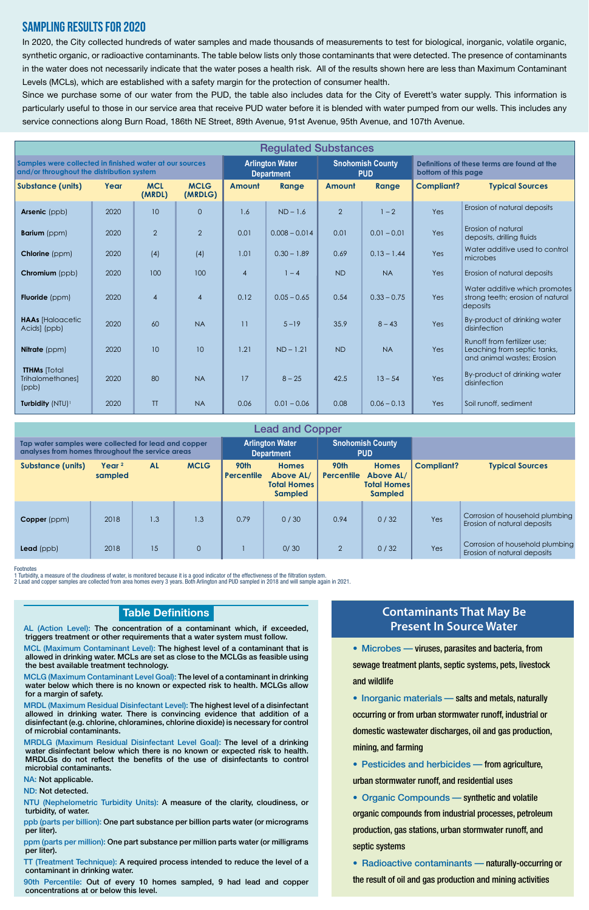Footnotes

1 Turbidity, a measure of the cloudiness of water, is monitored because it is a good indicator of the effectiveness of the filtration system.

2 Lead and copper samples are collected from area homes every 3 years. Both Arlington and PUD sampled in 2018 and will sample again in 2021.

## Sampling Results for 2020

In 2020, the City collected hundreds of water samples and made thousands of measurements to test for biological, inorganic, volatile organic, synthetic organic, or radioactive contaminants. The table below lists only those contaminants that were detected. The presence of contaminants in the water does not necessarily indicate that the water poses a health risk. All of the results shown here are less than Maximum Contaminant Levels (MCLs), which are established with a safety margin for the protection of consumer health.

Since we purchase some of our water from the PUD, the table also includes data for the City of Everett's water supply. This information is particularly useful to those in our service area that receive PUD water before it is blended with water pumped from our wells. This includes any service connections along Burn Road, 186th NE Street, 89th Avenue, 91st Avenue, 95th Avenue, and 107th Avenue.

| <b>Regulated Substances</b>                                                                          |      |                      |                        |                                             |                 |                                       |               |                                                                    |                                                                                          |
|------------------------------------------------------------------------------------------------------|------|----------------------|------------------------|---------------------------------------------|-----------------|---------------------------------------|---------------|--------------------------------------------------------------------|------------------------------------------------------------------------------------------|
| Samples were collected in finished water at our sources<br>and/or throughout the distribution system |      |                      |                        | <b>Arlington Water</b><br><b>Department</b> |                 | <b>Snohomish County</b><br><b>PUD</b> |               | Definitions of these terms are found at the<br>bottom of this page |                                                                                          |
| <b>Substance (units)</b>                                                                             | Year | <b>MCL</b><br>(MRDL) | <b>MCLG</b><br>(MRDLG) | <b>Amount</b>                               | Range           | Amount                                | Range         | <b>Compliant?</b>                                                  | <b>Typical Sources</b>                                                                   |
| Arsenic (ppb)                                                                                        | 2020 | 10                   | $\Omega$               | 1.6                                         | $ND - 1.6$      | $\overline{2}$                        | $1 - 2$       | Yes                                                                | Erosion of natural deposits                                                              |
| <b>Barium</b> (ppm)                                                                                  | 2020 | $\overline{2}$       | $\overline{2}$         | 0.01                                        | $0.008 - 0.014$ | 0.01                                  | $0.01 - 0.01$ | Yes                                                                | Erosion of natural<br>deposits, drilling fluids                                          |
| <b>Chlorine</b> (ppm)                                                                                | 2020 | (4)                  | (4)                    | 1.01                                        | $0.30 - 1.89$   | 0.69                                  | $0.13 - 1.44$ | Yes                                                                | Water additive used to control<br>microbes                                               |
| Chromium (ppb)                                                                                       | 2020 | 100                  | 100                    | $\overline{4}$                              | $1 - 4$         | <b>ND</b>                             | <b>NA</b>     | Yes                                                                | Erosion of natural deposits                                                              |
| <b>Fluoride</b> (ppm)                                                                                | 2020 | $\overline{4}$       | $\overline{4}$         | 0.12                                        | $0.05 - 0.65$   | 0.54                                  | $0.33 - 0.75$ | Yes                                                                | Water additive which promotes<br>strong teeth; erosion of natural<br>deposits            |
| <b>HAAs [Haloacetic</b><br>Acids] (ppb)                                                              | 2020 | 60                   | <b>NA</b>              | 11                                          | $5 - 19$        | 35.9                                  | $8 - 43$      | <b>Yes</b>                                                         | By-product of drinking water<br>disinfection                                             |
| Nitrate (ppm)                                                                                        | 2020 | 10 <sup>°</sup>      | 10                     | 1.21                                        | $ND - 1.21$     | <b>ND</b>                             | <b>NA</b>     | <b>Yes</b>                                                         | Runoff from fertilizer use:<br>Leaching from septic tanks,<br>and animal wastes; Erosion |
| <b>TTHMs</b> [Total<br>Trihalomethanes]<br>(ppb)                                                     | 2020 | 80                   | <b>NA</b>              | 17                                          | $8 - 25$        | 42.5                                  | $13 - 54$     | Yes                                                                | By-product of drinking water<br>disinfection                                             |
| Turbidity (NTU) <sup>1</sup>                                                                         | 2020 | <b>TT</b>            | <b>NA</b>              | 0.06                                        | $0.01 - 0.06$   | 0.08                                  | $0.06 - 0.13$ | Yes                                                                | Soil runoff, sediment                                                                    |

AL (Action Level): The concentration of a contaminant which, if exceeded, triggers treatment or other requirements that a water system must follow.

> • Organic Compounds — synthetic and volatile organic compounds from industrial processes, petroleum production, gas stations, urban stormwater runoff, and septic systems

MCL (Maximum Contaminant Level): The highest level of a contaminant that is allowed in drinking water. MCLs are set as close to the MCLGs as feasible using the best available treatment technology.

MCLG (Maximum Contaminant Level Goal): The level of a contaminant in drinking water below which there is no known or expected risk to health. MCLGs allow for a margin of safety.

MRDL (Maximum Residual Disinfectant Level): The highest level of a disinfectant allowed in drinking water. There is convincing evidence that addition of a disinfectant (e.g. chlorine, chloramines, chlorine dioxide) is necessary for control of microbial contaminants.

MRDLG (Maximum Residual Disinfectant Level Goal): The level of a drinking water disinfectant below which there is no known or expected risk to health. MRDLGs do not reflect the benefits of the use of disinfectants to control microbial contaminants.

NA: Not applicable.

ND: Not detected.

NTU (Nephelometric Turbidity Units): A measure of the clarity, cloudiness, or turbidity, of water.

ppb (parts per billion): One part substance per billion parts water (or micrograms per liter).

ppm (parts per million): One part substance per million parts water (or milligrams per liter).

TT (Treatment Technique): A required process intended to reduce the level of a contaminant in drinking water.

90th Percentile: Out of every 10 homes sampled, 9 had lead and copper concentrations at or below this level.

### **Table Definitions**

|                                                                                                          |                              |           |                     |                                             | <b>Lead and Copper</b>                                            |                                       |                                                                          |                   |                                                                |
|----------------------------------------------------------------------------------------------------------|------------------------------|-----------|---------------------|---------------------------------------------|-------------------------------------------------------------------|---------------------------------------|--------------------------------------------------------------------------|-------------------|----------------------------------------------------------------|
| Tap water samples were collected for lead and copper<br>analyses from homes throughout the service areas |                              |           |                     | <b>Arlington Water</b><br><b>Department</b> |                                                                   | <b>Snohomish County</b><br><b>PUD</b> |                                                                          |                   |                                                                |
| <b>Substance (units)</b>                                                                                 | Year <sup>2</sup><br>sampled | <b>AL</b> | <b>MCLG</b>         | 90th<br>Percentile                          | <b>Homes</b><br>Above AL/<br><b>Total Homes</b><br><b>Sampled</b> | 90th<br><b>Percentile</b>             | <b>Homes</b><br><b>Above AL/</b><br><b>Total Homes</b><br><b>Sampled</b> | <b>Compliant?</b> | <b>Typical Sources</b>                                         |
| Copper (ppm)                                                                                             | 2018                         | 1.3       | 1.3                 | 0.79                                        | 0/30                                                              | 0.94                                  | 0/32                                                                     | Yes               | Corrosion of household plumbing<br>Erosion of natural deposits |
| $\textsf{lead}$ (ppb)                                                                                    | 2018                         | 15        | $\mathsf{O}\xspace$ |                                             | 0/30                                                              | 2                                     | 0/32                                                                     | Yes               | Corrosion of household plumbing<br>Erosion of natural deposits |

# **Contaminants That May Be Present In Source Water**

• Microbes — viruses, parasites and bacteria, from

sewage treatment plants, septic systems, pets, livestock and wildlife

• Inorganic materials - salts and metals, naturally

occurring or from urban stormwater runoff, industrial or domestic wastewater discharges, oil and gas production, mining, and farming

• Pesticides and herbicides — from agriculture, urban stormwater runoff, and residential uses

• Radioactive contaminants — naturally-occurring or the result of oil and gas production and mining activities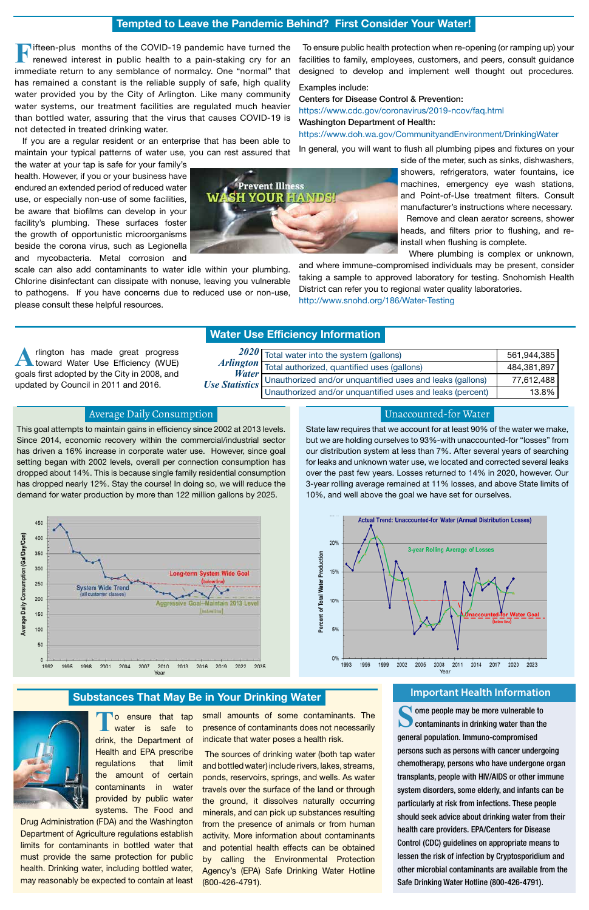**The ensure that tap**<br> **The water** is safe to safe to drink, the Department of Health and EPA prescribe regulations that limit the amount of certain contaminants in water provided by public water systems. The Food and

Drug Administration (FDA) and the Washington Department of Agriculture regulations establish limits for contaminants in bottled water that must provide the same protection for public health. Drinking water, including bottled water, may reasonably be expected to contain at least

small amounts of some contaminants. The presence of contaminants does not necessarily indicate that water poses a health risk.

> The sources of drinking water (both tap water and bottled water) include rivers, lakes, streams, ponds, reservoirs, springs, and wells. As water travels over the surface of the land or through the ground, it dissolves naturally occurring minerals, and can pick up substances resulting from the presence of animals or from human activity. More information about contaminants and potential health effects can be obtained by calling the Environmental Protection Agency's (EPA) Safe Drinking Water Hotline (800-426-4791).

#### Unaccounted-for Water

State law requires that we account for at least 90% of the water we make, but we are holding ourselves to 93%-with unaccounted-for "losses" from our distribution system at less than 7%. After several years of searching for leaks and unknown water use, we located and corrected several leaks over the past few years. Losses returned to 14% in 2020, however. Our 3-year rolling average remained at 11% losses, and above State limits of 10%, and well above the goal we have set for ourselves.

> Some people may be more vulnerable to<br> **Solution contaminants in drinking water than the** general population. Immuno-compromised persons such as persons with cancer undergoing chemotherapy, persons who have undergone organ transplants, people with HIV/AIDS or other immune system disorders, some elderly, and infants can be particularly at risk from infections. These people should seek advice about drinking water from their health care providers. EPA/Centers for Disease Control (CDC) guidelines on appropriate means to lessen the risk of infection by Cryptosporidium and other microbial contaminants are available from the Safe Drinking Water Hotline (800-426-4791).

**A**rlington has made great progress toward Water Use Efficiency (WUE) goals first adopted by the City in 2008, and updated by Council in 2011 and 2016.

#### **Water Use Efficiency Information**

#### Average Daily Consumption

This goal attempts to maintain gains in efficiency since 2002 at 2013 levels. Since 2014, economic recovery within the commercial/industrial sector has driven a 16% increase in corporate water use. However, since goal setting began with 2002 levels, overall per connection consumption has dropped about 14%. This is because single family residential consumption has dropped nearly 12%. Stay the course! In doing so, we will reduce the demand for water production by more than 122 million gallons by 2025.

# **Tempted to Leave the Pandemic Behind? First Consider Your Water!**

|                       | 2020 Total water into the system (gallons)                | 561,944,385 |
|-----------------------|-----------------------------------------------------------|-------------|
| <b>Water</b>          | Arlington Total authorized, quantified uses (gallons)     | 484,381,897 |
| <b>Use Statistics</b> | Unauthorized and/or unquantified uses and leaks (gallons) | 77,612,488  |
|                       | Unauthorized and/or unquantified uses and leaks (percent) | 13.8%       |

**F**ifteen-plus months of the COVID-19 pandemic have turned the renewed interest in public health to a pain-staking cry for an immediate return to any semblance of normalcy. One "normal" that has remained a constant is the reliable supply of safe, high quality water provided you by the City of Arlington. Like many community water systems, our treatment facilities are regulated much heavier than bottled water, assuring that the virus that causes COVID-19 is not detected in treated drinking water.

 If you are a regular resident or an enterprise that has been able to maintain your typical patterns of water use, you can rest assured that

the water at your tap is safe for your family's health. However, if you or your business have endured an extended period of reduced water use, or especially non-use of some facilities, be aware that biofilms can develop in your facility's plumbing. These surfaces foster the growth of opportunistic microorganisms beside the corona virus, such as Legionella and mycobacteria. Metal corrosion and

scale can also add contaminants to water idle within your plumbing. Chlorine disinfectant can dissipate with nonuse, leaving you vulnerable to pathogens. If you have concerns due to reduced use or non-use, please consult these helpful resources.



**Substances That May Be in Your Drinking Water Integral Constant Health Information** 







 To ensure public health protection when re-opening (or ramping up) your facilities to family, employees, customers, and peers, consult guidance designed to develop and implement well thought out procedures.

Examples include:

Centers for Disease Control & Prevention: https://www.cdc.gov/coronavirus/2019-ncov/faq.html Washington Department of Health: https://www.doh.wa.gov/CommunityandEnvironment/DrinkingWater

In general, you will want to flush all plumbing pipes and fixtures on your

side of the meter, such as sinks, dishwashers, showers, refrigerators, water fountains, ice machines, emergency eye wash stations, and Point-of-Use treatment filters. Consult manufacturer's instructions where necessary. Remove and clean aerator screens, shower heads, and filters prior to flushing, and reinstall when flushing is complete.

Where plumbing is complex or unknown,

and where immune-compromised individuals may be present, consider taking a sample to approved laboratory for testing. Snohomish Health District can refer you to regional water quality laboratories. http://www.snohd.org/186/Water-Testing